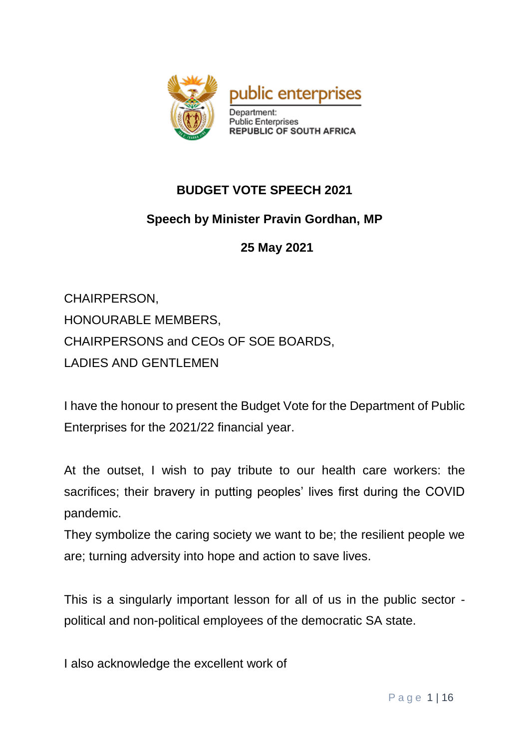

# **BUDGET VOTE SPEECH 2021**

## **Speech by Minister Pravin Gordhan, MP**

## **25 May 2021**

CHAIRPERSON, HONOURABLE MEMBERS, CHAIRPERSONS and CEOs OF SOE BOARDS, LADIES AND GENTLEMEN

I have the honour to present the Budget Vote for the Department of Public Enterprises for the 2021/22 financial year.

At the outset, I wish to pay tribute to our health care workers: the sacrifices; their bravery in putting peoples' lives first during the COVID pandemic.

They symbolize the caring society we want to be; the resilient people we are; turning adversity into hope and action to save lives.

This is a singularly important lesson for all of us in the public sector political and non-political employees of the democratic SA state.

I also acknowledge the excellent work of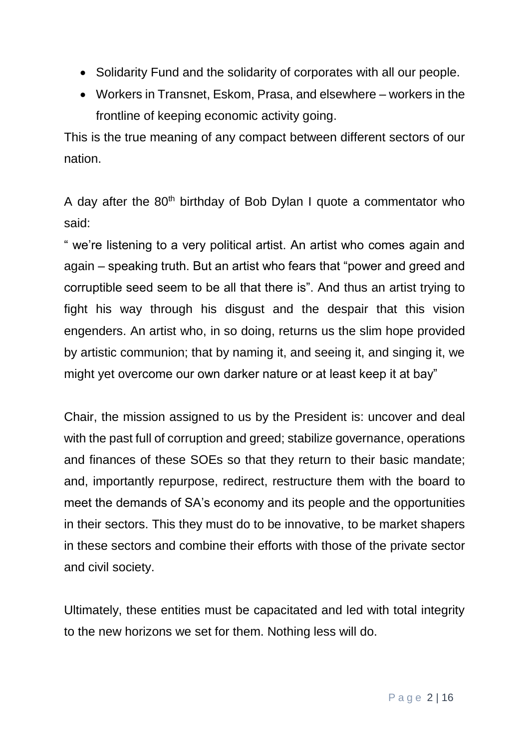- Solidarity Fund and the solidarity of corporates with all our people.
- Workers in Transnet, Eskom, Prasa, and elsewhere workers in the frontline of keeping economic activity going.

This is the true meaning of any compact between different sectors of our nation.

A day after the  $80<sup>th</sup>$  birthday of Bob Dylan I quote a commentator who said:

" we're listening to a very political artist. An artist who comes again and again – speaking truth. But an artist who fears that "power and greed and corruptible seed seem to be all that there is". And thus an artist trying to fight his way through his disgust and the despair that this vision engenders. An artist who, in so doing, returns us the slim hope provided by artistic communion; that by naming it, and seeing it, and singing it, we might yet overcome our own darker nature or at least keep it at bay"

Chair, the mission assigned to us by the President is: uncover and deal with the past full of corruption and greed; stabilize governance, operations and finances of these SOEs so that they return to their basic mandate; and, importantly repurpose, redirect, restructure them with the board to meet the demands of SA's economy and its people and the opportunities in their sectors. This they must do to be innovative, to be market shapers in these sectors and combine their efforts with those of the private sector and civil society.

Ultimately, these entities must be capacitated and led with total integrity to the new horizons we set for them. Nothing less will do.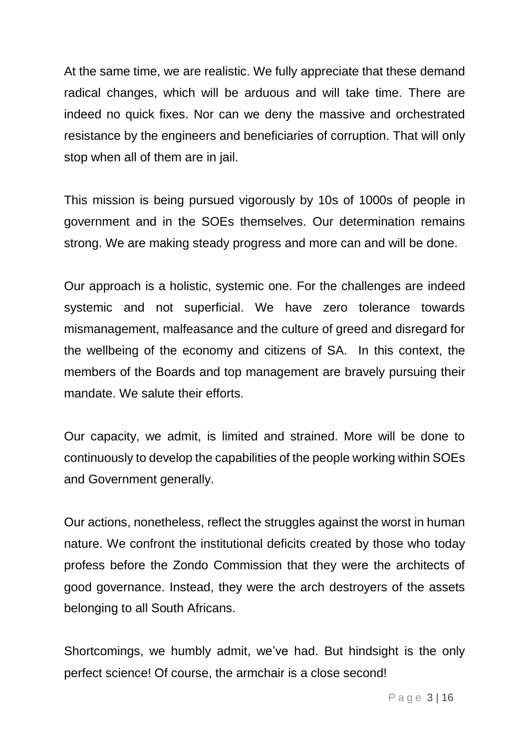At the same time, we are realistic. We fully appreciate that these demand radical changes, which will be arduous and will take time. There are indeed no quick fixes. Nor can we deny the massive and orchestrated resistance by the engineers and beneficiaries of corruption. That will only stop when all of them are in jail.

This mission is being pursued vigorously by 10s of 1000s of people in government and in the SOEs themselves. Our determination remains strong. We are making steady progress and more can and will be done.

Our approach is a holistic, systemic one. For the challenges are indeed systemic and not superficial. We have zero tolerance towards mismanagement, malfeasance and the culture of greed and disregard for the wellbeing of the economy and citizens of SA. In this context, the members of the Boards and top management are bravely pursuing their mandate. We salute their efforts.

Our capacity, we admit, is limited and strained. More will be done to continuously to develop the capabilities of the people working within SOEs and Government generally.

Our actions, nonetheless, reflect the struggles against the worst in human nature. We confront the institutional deficits created by those who today profess before the Zondo Commission that they were the architects of good governance. Instead, they were the arch destroyers of the assets belonging to all South Africans.

Shortcomings, we humbly admit, we've had. But hindsight is the only perfect science! Of course, the armchair is a close second!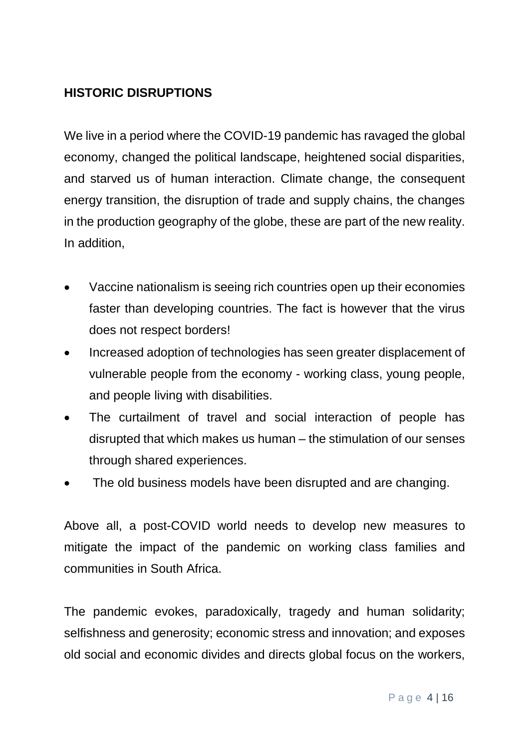## **HISTORIC DISRUPTIONS**

We live in a period where the COVID-19 pandemic has ravaged the global economy, changed the political landscape, heightened social disparities, and starved us of human interaction. Climate change, the consequent energy transition, the disruption of trade and supply chains, the changes in the production geography of the globe, these are part of the new reality. In addition,

- Vaccine nationalism is seeing rich countries open up their economies faster than developing countries. The fact is however that the virus does not respect borders!
- Increased adoption of technologies has seen greater displacement of vulnerable people from the economy - working class, young people, and people living with disabilities.
- The curtailment of travel and social interaction of people has disrupted that which makes us human – the stimulation of our senses through shared experiences.
- The old business models have been disrupted and are changing.

Above all, a post-COVID world needs to develop new measures to mitigate the impact of the pandemic on working class families and communities in South Africa.

The pandemic evokes, paradoxically, tragedy and human solidarity; selfishness and generosity; economic stress and innovation; and exposes old social and economic divides and directs global focus on the workers,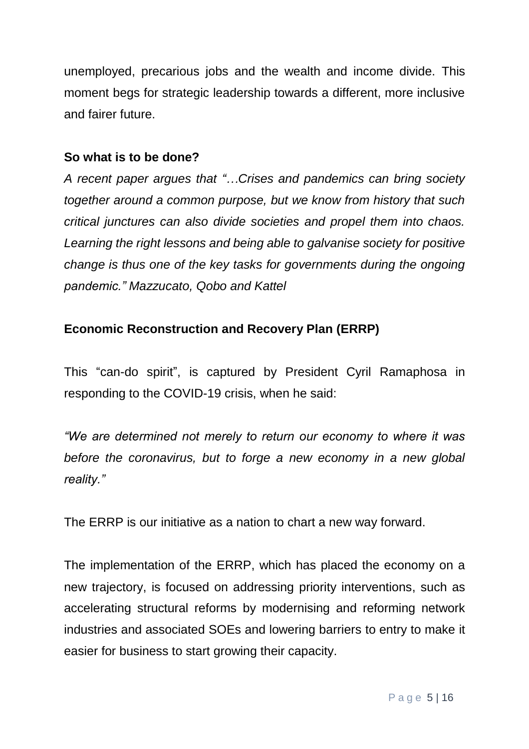unemployed, precarious jobs and the wealth and income divide. This moment begs for strategic leadership towards a different, more inclusive and fairer future.

#### **So what is to be done?**

*A recent paper argues that "…Crises and pandemics can bring society together around a common purpose, but we know from history that such critical junctures can also divide societies and propel them into chaos. Learning the right lessons and being able to galvanise society for positive change is thus one of the key tasks for governments during the ongoing pandemic." Mazzucato, Qobo and Kattel*

## **Economic Reconstruction and Recovery Plan (ERRP)**

This "can-do spirit", is captured by President Cyril Ramaphosa in responding to the COVID-19 crisis, when he said:

*"We are determined not merely to return our economy to where it was before the coronavirus, but to forge a new economy in a new global reality."*

The ERRP is our initiative as a nation to chart a new way forward.

The implementation of the ERRP, which has placed the economy on a new trajectory, is focused on addressing priority interventions, such as accelerating structural reforms by modernising and reforming network industries and associated SOEs and lowering barriers to entry to make it easier for business to start growing their capacity.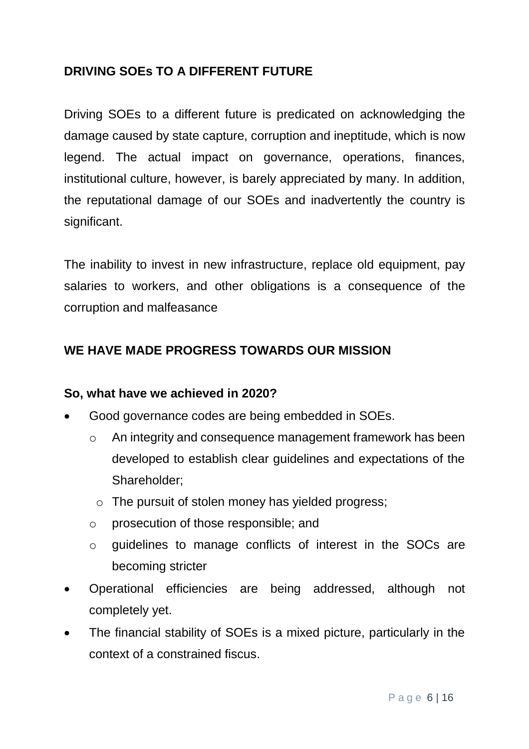## **DRIVING SOEs TO A DIFFERENT FUTURE**

Driving SOEs to a different future is predicated on acknowledging the damage caused by state capture, corruption and ineptitude, which is now legend. The actual impact on governance, operations, finances, institutional culture, however, is barely appreciated by many. In addition, the reputational damage of our SOEs and inadvertently the country is significant.

The inability to invest in new infrastructure, replace old equipment, pay salaries to workers, and other obligations is a consequence of the corruption and malfeasance

### **WE HAVE MADE PROGRESS TOWARDS OUR MISSION**

#### **So, what have we achieved in 2020?**

- Good governance codes are being embedded in SOEs.
	- o An integrity and consequence management framework has been developed to establish clear guidelines and expectations of the Shareholder;
		- $\circ$  The pursuit of stolen money has yielded progress;
	- o prosecution of those responsible; and
	- o guidelines to manage conflicts of interest in the SOCs are becoming stricter
- Operational efficiencies are being addressed, although not completely yet.
- The financial stability of SOEs is a mixed picture, particularly in the context of a constrained fiscus.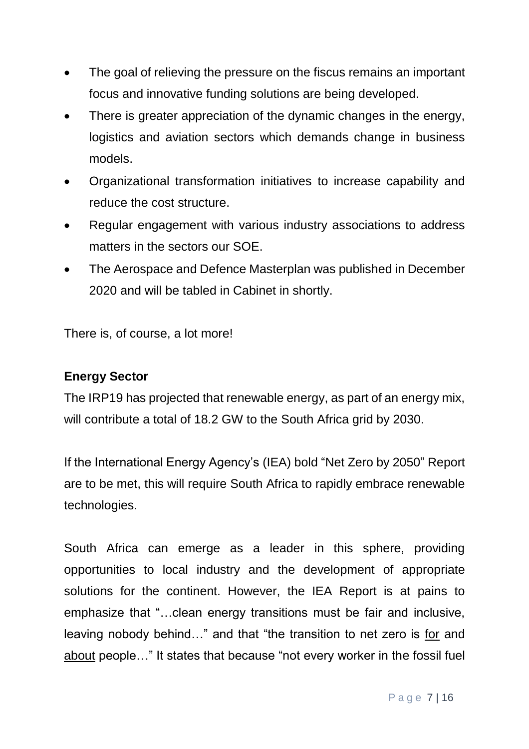- The goal of relieving the pressure on the fiscus remains an important focus and innovative funding solutions are being developed.
- There is greater appreciation of the dynamic changes in the energy, logistics and aviation sectors which demands change in business models.
- Organizational transformation initiatives to increase capability and reduce the cost structure.
- Regular engagement with various industry associations to address matters in the sectors our SOE.
- The Aerospace and Defence Masterplan was published in December 2020 and will be tabled in Cabinet in shortly.

There is, of course, a lot more!

#### **Energy Sector**

The IRP19 has projected that renewable energy, as part of an energy mix, will contribute a total of 18.2 GW to the South Africa grid by 2030.

If the International Energy Agency's (IEA) bold "Net Zero by 2050" Report are to be met, this will require South Africa to rapidly embrace renewable technologies.

South Africa can emerge as a leader in this sphere, providing opportunities to local industry and the development of appropriate solutions for the continent. However, the IEA Report is at pains to emphasize that "…clean energy transitions must be fair and inclusive, leaving nobody behind…" and that "the transition to net zero is for and about people…" It states that because "not every worker in the fossil fuel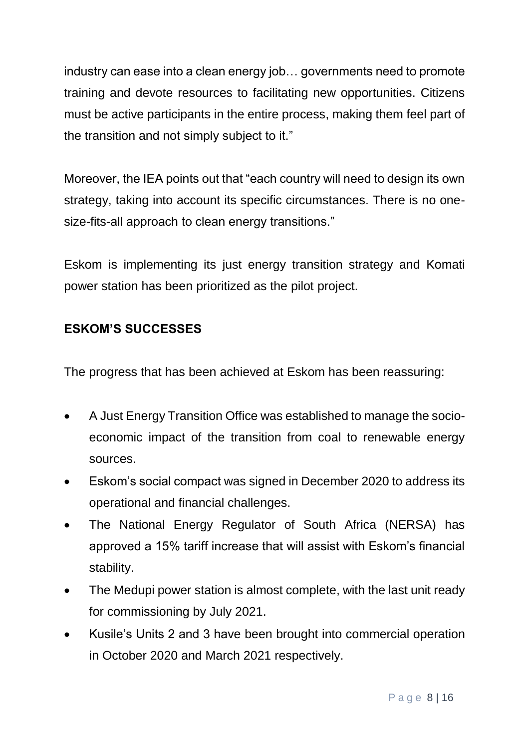industry can ease into a clean energy job… governments need to promote training and devote resources to facilitating new opportunities. Citizens must be active participants in the entire process, making them feel part of the transition and not simply subject to it."

Moreover, the IEA points out that "each country will need to design its own strategy, taking into account its specific circumstances. There is no onesize-fits-all approach to clean energy transitions."

Eskom is implementing its just energy transition strategy and Komati power station has been prioritized as the pilot project.

# **ESKOM'S SUCCESSES**

The progress that has been achieved at Eskom has been reassuring:

- A Just Energy Transition Office was established to manage the socioeconomic impact of the transition from coal to renewable energy sources.
- Eskom's social compact was signed in December 2020 to address its operational and financial challenges.
- The National Energy Regulator of South Africa (NERSA) has approved a 15% tariff increase that will assist with Eskom's financial stability.
- The Medupi power station is almost complete, with the last unit ready for commissioning by July 2021.
- Kusile's Units 2 and 3 have been brought into commercial operation in October 2020 and March 2021 respectively.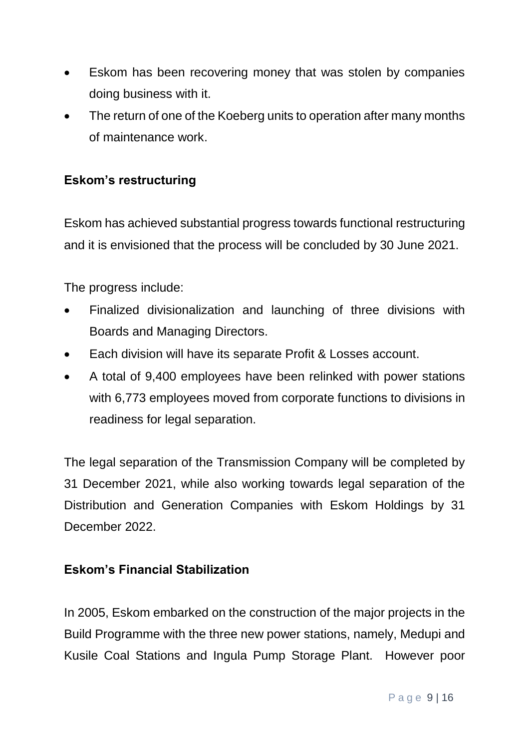- Eskom has been recovering money that was stolen by companies doing business with it.
- The return of one of the Koeberg units to operation after many months of maintenance work.

## **Eskom's restructuring**

Eskom has achieved substantial progress towards functional restructuring and it is envisioned that the process will be concluded by 30 June 2021.

The progress include:

- Finalized divisionalization and launching of three divisions with Boards and Managing Directors.
- Each division will have its separate Profit & Losses account.
- A total of 9,400 employees have been relinked with power stations with 6,773 employees moved from corporate functions to divisions in readiness for legal separation.

The legal separation of the Transmission Company will be completed by 31 December 2021, while also working towards legal separation of the Distribution and Generation Companies with Eskom Holdings by 31 December 2022.

#### **Eskom's Financial Stabilization**

In 2005, Eskom embarked on the construction of the major projects in the Build Programme with the three new power stations, namely, Medupi and Kusile Coal Stations and Ingula Pump Storage Plant. However poor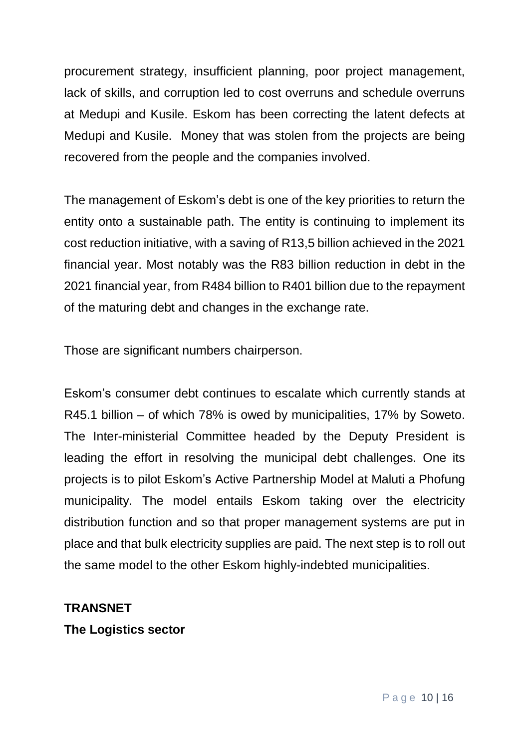procurement strategy, insufficient planning, poor project management, lack of skills, and corruption led to cost overruns and schedule overruns at Medupi and Kusile. Eskom has been correcting the latent defects at Medupi and Kusile. Money that was stolen from the projects are being recovered from the people and the companies involved.

The management of Eskom's debt is one of the key priorities to return the entity onto a sustainable path. The entity is continuing to implement its cost reduction initiative, with a saving of R13,5 billion achieved in the 2021 financial year. Most notably was the R83 billion reduction in debt in the 2021 financial year, from R484 billion to R401 billion due to the repayment of the maturing debt and changes in the exchange rate.

Those are significant numbers chairperson.

Eskom's consumer debt continues to escalate which currently stands at R45.1 billion – of which 78% is owed by municipalities, 17% by Soweto. The Inter-ministerial Committee headed by the Deputy President is leading the effort in resolving the municipal debt challenges. One its projects is to pilot Eskom's Active Partnership Model at Maluti a Phofung municipality. The model entails Eskom taking over the electricity distribution function and so that proper management systems are put in place and that bulk electricity supplies are paid. The next step is to roll out the same model to the other Eskom highly-indebted municipalities.

#### **TRANSNET**

**The Logistics sector**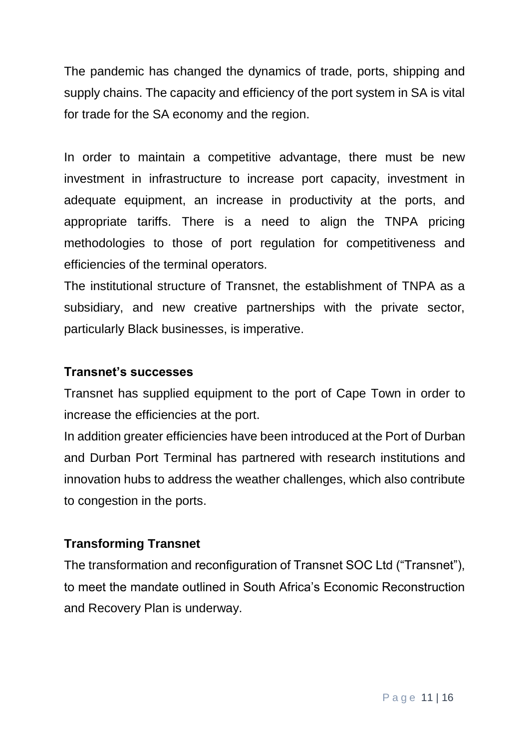The pandemic has changed the dynamics of trade, ports, shipping and supply chains. The capacity and efficiency of the port system in SA is vital for trade for the SA economy and the region.

In order to maintain a competitive advantage, there must be new investment in infrastructure to increase port capacity, investment in adequate equipment, an increase in productivity at the ports, and appropriate tariffs. There is a need to align the TNPA pricing methodologies to those of port regulation for competitiveness and efficiencies of the terminal operators.

The institutional structure of Transnet, the establishment of TNPA as a subsidiary, and new creative partnerships with the private sector, particularly Black businesses, is imperative.

#### **Transnet's successes**

Transnet has supplied equipment to the port of Cape Town in order to increase the efficiencies at the port.

In addition greater efficiencies have been introduced at the Port of Durban and Durban Port Terminal has partnered with research institutions and innovation hubs to address the weather challenges, which also contribute to congestion in the ports.

#### **Transforming Transnet**

The transformation and reconfiguration of Transnet SOC Ltd ("Transnet"), to meet the mandate outlined in South Africa's Economic Reconstruction and Recovery Plan is underway.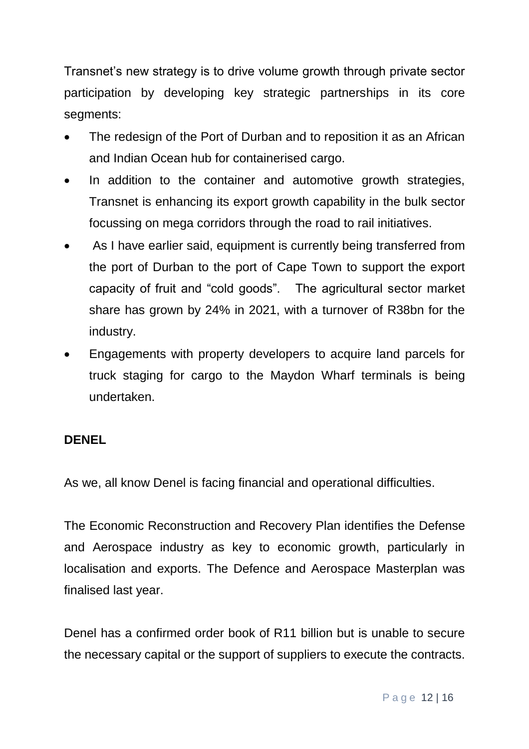Transnet's new strategy is to drive volume growth through private sector participation by developing key strategic partnerships in its core segments:

- The redesign of the Port of Durban and to reposition it as an African and Indian Ocean hub for containerised cargo.
- In addition to the container and automotive growth strategies, Transnet is enhancing its export growth capability in the bulk sector focussing on mega corridors through the road to rail initiatives.
- As I have earlier said, equipment is currently being transferred from the port of Durban to the port of Cape Town to support the export capacity of fruit and "cold goods". The agricultural sector market share has grown by 24% in 2021, with a turnover of R38bn for the industry.
- Engagements with property developers to acquire land parcels for truck staging for cargo to the Maydon Wharf terminals is being undertaken.

## **DENEL**

As we, all know Denel is facing financial and operational difficulties.

The Economic Reconstruction and Recovery Plan identifies the Defense and Aerospace industry as key to economic growth, particularly in localisation and exports. The Defence and Aerospace Masterplan was finalised last year.

Denel has a confirmed order book of R11 billion but is unable to secure the necessary capital or the support of suppliers to execute the contracts.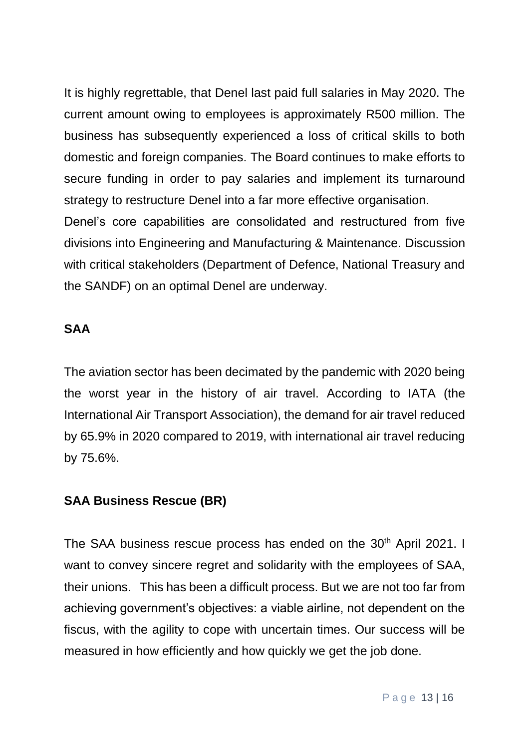It is highly regrettable, that Denel last paid full salaries in May 2020. The current amount owing to employees is approximately R500 million. The business has subsequently experienced a loss of critical skills to both domestic and foreign companies. The Board continues to make efforts to secure funding in order to pay salaries and implement its turnaround strategy to restructure Denel into a far more effective organisation.

Denel's core capabilities are consolidated and restructured from five divisions into Engineering and Manufacturing & Maintenance. Discussion with critical stakeholders (Department of Defence, National Treasury and the SANDF) on an optimal Denel are underway.

#### **SAA**

The aviation sector has been decimated by the pandemic with 2020 being the worst year in the history of air travel. According to IATA (the International Air Transport Association), the demand for air travel reduced by 65.9% in 2020 compared to 2019, with international air travel reducing by 75.6%.

#### **SAA Business Rescue (BR)**

The SAA business rescue process has ended on the 30<sup>th</sup> April 2021. I want to convey sincere regret and solidarity with the employees of SAA, their unions. This has been a difficult process. But we are not too far from achieving government's objectives: a viable airline, not dependent on the fiscus, with the agility to cope with uncertain times. Our success will be measured in how efficiently and how quickly we get the job done.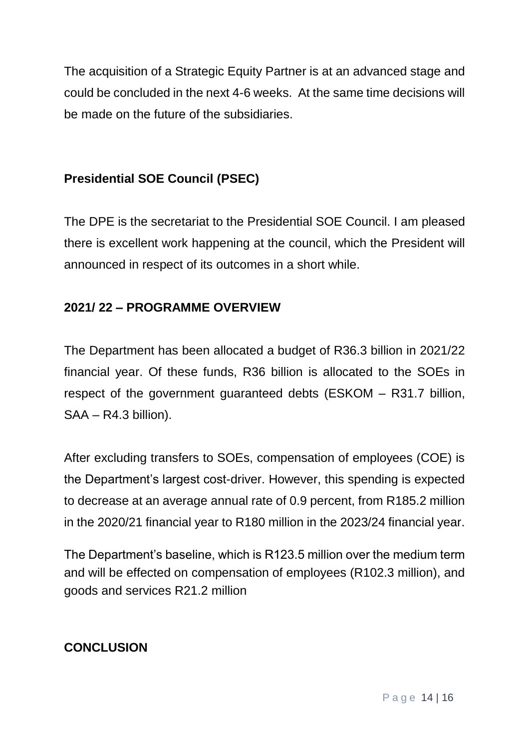The acquisition of a Strategic Equity Partner is at an advanced stage and could be concluded in the next 4-6 weeks. At the same time decisions will be made on the future of the subsidiaries.

# **Presidential SOE Council (PSEC)**

The DPE is the secretariat to the Presidential SOE Council. I am pleased there is excellent work happening at the council, which the President will announced in respect of its outcomes in a short while.

## **2021/ 22 – PROGRAMME OVERVIEW**

The Department has been allocated a budget of R36.3 billion in 2021/22 financial year. Of these funds, R36 billion is allocated to the SOEs in respect of the government guaranteed debts (ESKOM – R31.7 billion, SAA – R4.3 billion).

After excluding transfers to SOEs, compensation of employees (COE) is the Department's largest cost-driver. However, this spending is expected to decrease at an average annual rate of 0.9 percent, from R185.2 million in the 2020/21 financial year to R180 million in the 2023/24 financial year.

The Department's baseline, which is R123.5 million over the medium term and will be effected on compensation of employees (R102.3 million), and goods and services R21.2 million

# **CONCLUSION**